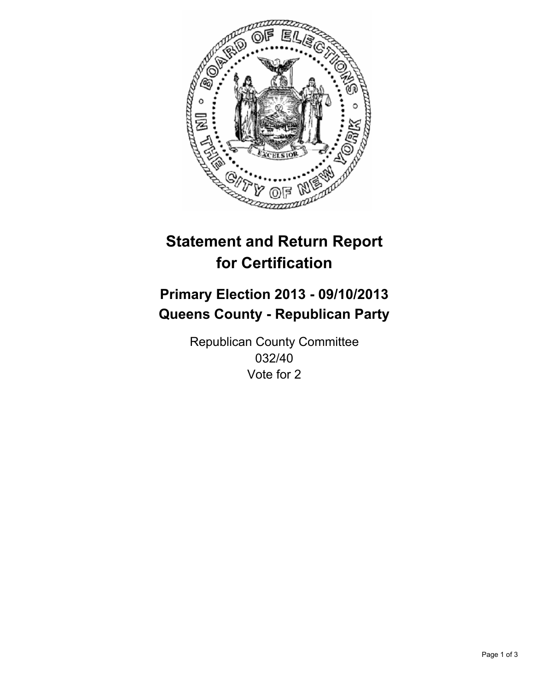

# **Statement and Return Report for Certification**

## **Primary Election 2013 - 09/10/2013 Queens County - Republican Party**

Republican County Committee 032/40 Vote for 2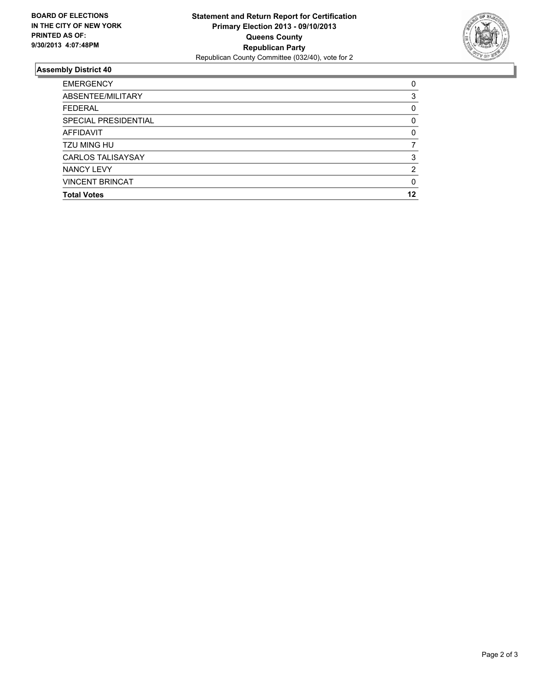

## **Assembly District 40**

| <b>EMERGENCY</b>         | 0        |
|--------------------------|----------|
| ABSENTEE/MILITARY        | 3        |
| <b>FEDERAL</b>           | 0        |
| SPECIAL PRESIDENTIAL     | 0        |
| <b>AFFIDAVIT</b>         | $\Omega$ |
| <b>TZU MING HU</b>       |          |
| <b>CARLOS TALISAYSAY</b> | 3        |
| <b>NANCY LEVY</b>        | 2        |
| <b>VINCENT BRINCAT</b>   | 0        |
| <b>Total Votes</b>       | 12       |